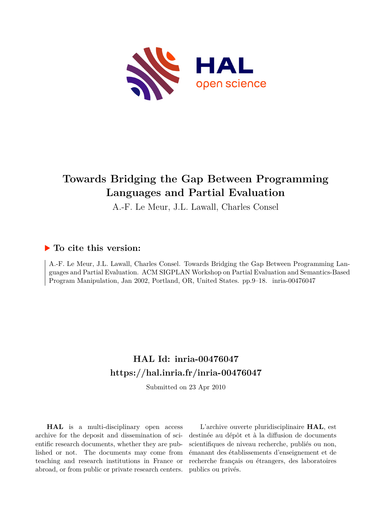

# **Towards Bridging the Gap Between Programming Languages and Partial Evaluation**

A.-F. Le Meur, J.L. Lawall, Charles Consel

## **To cite this version:**

A.-F. Le Meur, J.L. Lawall, Charles Consel. Towards Bridging the Gap Between Programming Languages and Partial Evaluation. ACM SIGPLAN Workshop on Partial Evaluation and Semantics-Based Program Manipulation, Jan 2002, Portland, OR, United States. pp.9-18. inria-00476047

## **HAL Id: inria-00476047 <https://hal.inria.fr/inria-00476047>**

Submitted on 23 Apr 2010

**HAL** is a multi-disciplinary open access archive for the deposit and dissemination of scientific research documents, whether they are published or not. The documents may come from teaching and research institutions in France or abroad, or from public or private research centers.

L'archive ouverte pluridisciplinaire **HAL**, est destinée au dépôt et à la diffusion de documents scientifiques de niveau recherche, publiés ou non, émanant des établissements d'enseignement et de recherche français ou étrangers, des laboratoires publics ou privés.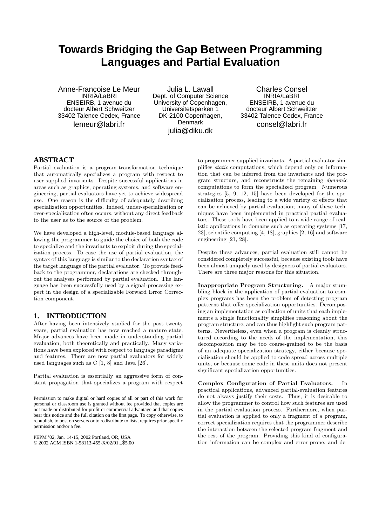## **Towards Bridging the Gap Between Programming Languages and Partial Evaluation**

Anne-Francoise Le Meur INRIA/LaBRI ENSEIRB, 1 avenue du docteur Albert Schweitzer 33402 Talence Cedex, France lemeur@labri.fr

Julia L. Lawall Dept. of Computer Science University of Copenhagen, Universitetsparken 1 DK-2100 Copenhagen, Denmark julia@diku.dk

Charles Consel INRIA/LaBRI ENSEIRB, 1 avenue du docteur Albert Schweitzer 33402 Talence Cedex, France consel@labri.fr

#### **ABSTRACT**

Partial evaluation is a program-transformation technique that automatically specializes a program with respect to user-supplied invariants. Despite successful applications in areas such as graphics, operating systems, and software engineering, partial evaluators have yet to achieve widespread use. One reason is the difficulty of adequately describing specialization opportunities. Indeed, under-specialization or over-specialization often occurs, without any direct feedback to the user as to the source of the problem.

We have developed a high-level, module-based language allowing the programmer to guide the choice of both the code to specialize and the invariants to exploit during the specialization process. To ease the use of partial evaluation, the syntax of this language is similar to the declaration syntax of the target language of the partial evaluator. To provide feedback to the programmer, declarations are checked throughout the analyses performed by partial evaluation. The language has been successfully used by a signal-processing expert in the design of a specializable Forward Error Correction component.

### **1. INTRODUCTION**

After having been intensively studied for the past twenty years, partial evaluation has now reached a mature state. Major advances have been made in understanding partial evaluation, both theoretically and practically. Many variations have been explored with respect to language paradigms and features. There are now partial evaluators for widely used languages such as C [1, 8] and Java [26].

Partial evaluation is essentially an aggressive form of constant propagation that specializes a program with respect

Permission to make digital or hard copies of all or part of this work for personal or classroom use is granted without fee provided that copies are not made or distributed for profit or commercial advantage and that copies bear this notice and the full citation on the first page. To copy otherwise, to republish, to post on servers or to redistribute to lists, requires prior specific permission and/or a fee.

PEPM '02, Jan. 14-15, 2002 Portland, OR, USA © 2002 ACM ISBN 1-58113-455-X/02/01...\$5.00

to programmer-supplied invariants. A partial evaluator simplifies static computations, which depend only on information that can be inferred from the invariants and the program structure, and reconstructs the remaining dynamic computations to form the specialized program. Numerous strategies [5, 9, 12, 15] have been developed for the specialization process, leading to a wide variety of effects that can be achieved by partial evaluation; many of these techniques have been implemented in practical partial evaluators. These tools have been applied to a wide range of realistic applications in domains such as operating systems [17, 23], scientific computing [4, 18], graphics [2, 16] and software engineering [21, 28].

Despite these advances, partial evaluation still cannot be considered completely successful, because existing tools have been almost uniquely used by designers of partial evaluators. There are three major reasons for this situation.

Inappropriate Program Structuring. A major stumbling block in the application of partial evaluation to complex programs has been the problem of detecting program patterns that offer specialization opportunities. Decomposing an implementation as collection of units that each implements a single functionality simplifies reasoning about the program structure, and can thus highlight such program patterns. Nevertheless, even when a program is cleanly structured according to the needs of the implementation, this decomposition may be too coarse-grained to be the basis of an adequate specialization strategy, either because specialization should be applied to code spread across multiple units, or because some code in these units does not present significant specialization opportunities.

Complex Configuration of Partial Evaluators. In practical applications, advanced partial-evaluation features do not always justify their costs. Thus, it is desirable to allow the programmer to control how such features are used in the partial evaluation process. Furthermore, when partial evaluation is applied to only a fragment of a program, correct specialization requires that the programmer describe the interaction between the selected program fragment and the rest of the program. Providing this kind of configuration information can be complex and error-prone, and de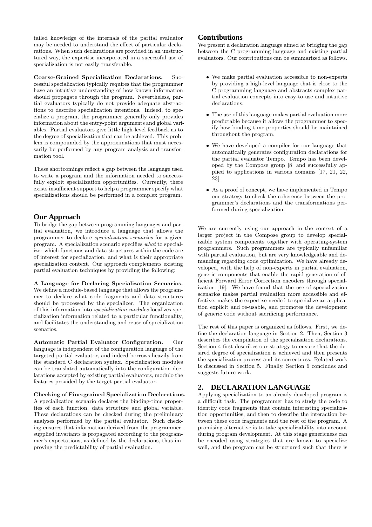tailed knowledge of the internals of the partial evaluator may be needed to understand the effect of particular declarations. When such declarations are provided in an unstructured way, the expertise incorporated in a successful use of specialization is not easily transferable.

Coarse-Grained Specialization Declarations. Successful specialization typically requires that the programmer have an intuitive understanding of how known information should propagate through the program. Nevertheless, partial evaluators typically do not provide adequate abstractions to describe specialization intentions. Indeed, to specialize a program, the programmer generally only provides information about the entry-point arguments and global variables. Partial evaluators give little high-level feedback as to the degree of specialization that can be achieved. This problem is compounded by the approximations that must necessarily be performed by any program analysis and transformation tool.

These shortcomings reflect a gap between the language used to write a program and the information needed to successfully exploit specialization opportunities. Currently, there exists insufficient support to help a programmer specify what specializations should be performed in a complex program.

#### **Our Approach**

To bridge the gap between programming languages and partial evaluation, we introduce a language that allows the programmer to declare specialization scenarios for a given program. A specialization scenario specifies what to specialize: which functions and data structures within the code are of interest for specialization, and what is their appropriate specialization context. Our approach complements existing partial evaluation techniques by providing the following:

A Language for Declaring Specialization Scenarios. We define a module-based language that allows the programmer to declare what code fragments and data structures should be processed by the specializer. The organization of this information into specialization modules localizes specialization information related to a particular functionality, and facilitates the understanding and reuse of specialization scenarios.

Automatic Partial Evaluator Configuration. Our language is independent of the configuration language of the targeted partial evaluator, and indeed borrows heavily from the standard C declaration syntax. Specialization modules can be translated automatically into the configuration declarations accepted by existing partial evaluators, modulo the features provided by the target partial evaluator.

Checking of Fine-grained Specialization Declarations. A specialization scenario declares the binding-time properties of each function, data structure and global variable. These declarations can be checked during the preliminary analyses performed by the partial evaluator. Such checking ensures that information derived from the programmersupplied invariants is propagated according to the programmer's expectations, as defined by the declarations, thus improving the predictability of partial evaluation.

## **Contributions**

We present a declaration language aimed at bridging the gap between the C programming language and existing partial evaluators. Our contributions can be summarized as follows.

- We make partial evaluation accessible to non-experts by providing a high-level language that is close to the C programming language and abstracts complex partial evaluation concepts into easy-to-use and intuitive declarations.
- The use of this language makes partial evaluation more predictable because it allows the programmer to specify how binding-time properties should be maintained throughout the program.
- We have developed a compiler for our language that automatically generates configuration declarations for the partial evaluator Tempo. Tempo has been developed by the Compose group [8] and successfully applied to applications in various domains [17, 21, 22, 23].
- As a proof of concept, we have implemented in Tempo our strategy to check the coherence between the programmer's declarations and the transformations performed during specialization.

We are currently using our approach in the context of a larger project in the Compose group to develop specializable system components together with operating-system programmers. Such programmers are typically unfamiliar with partial evaluation, but are very knowledgeable and demanding regarding code optimization. We have already developed, with the help of non-experts in partial evaluation, generic components that enable the rapid generation of efficient Forward Error Correction encoders through specialization [19]. We have found that the use of specialization scenarios makes partial evaluation more accessible and effective, makes the expertise needed to specialize an application explicit and re-usable, and promotes the development of generic code without sacrificing performance.

The rest of this paper is organized as follows. First, we define the declaration language in Section 2. Then, Section 3 describes the compilation of the specialization declarations. Section 4 first describes our strategy to ensure that the desired degree of specialization is achieved and then presents the specialization process and its correctness. Related work is discussed in Section 5. Finally, Section 6 concludes and suggests future work.

### **2. DECLARATION LANGUAGE**

Applying specialization to an already-developed program is a difficult task. The programmer has to study the code to identify code fragments that contain interesting specialization opportunities, and then to describe the interaction between these code fragments and the rest of the program. A promising alternative is to take specializability into account during program development. At this stage genericness can be encoded using strategies that are known to specialize well, and the program can be structured such that there is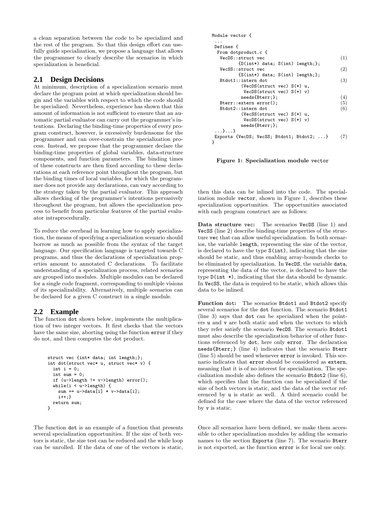a clean separation between the code to be specialized and the rest of the program. So that this design effort can usefully guide specialization, we propose a language that allows the programmer to clearly describe the scenarios in which specialization is beneficial.

#### **2.1 Design Decisions**

At minimum, description of a specialization scenario must declare the program point at which specialization should begin and the variables with respect to which the code should be specialized. Nevertheless, experience has shown that this amount of information is not sufficient to ensure that an automatic partial evaluator can carry out the programmer's intentions. Declaring the binding-time properties of every program construct, however, is excessively burdensome for the programmer and can over-constrain the specialization process. Instead, we propose that the programmer declare the binding-time properties of global variables, data-structure components, and function parameters. The binding times of these constructs are then fixed according to these declarations at each reference point throughout the program, but the binding times of local variables, for which the programmer does not provide any declarations, can vary according to the strategy taken by the partial evaluator. This approach allows checking of the programmer's intentions pervasively throughout the program, but allows the specialization process to benefit from particular features of the partial evaluator intraprocedurally.

To reduce the overhead in learning how to apply specialization, the means of specifying a specialization scenario should borrow as much as possible from the syntax of the target language. Our specification language is targeted towards C programs, and thus the declarations of specialization properties amount to annotated C declarations. To facilitate understanding of a specialization process, related scenarios are grouped into modules. Multiple modules can be declared for a single code fragment, corresponding to multiple visions of its specializability. Alternatively, multiple scenarios can be declared for a given C construct in a single module.

## **2.2 Example**

The function dot shown below, implements the multiplication of two integer vectors. It first checks that the vectors have the same size, aborting using the function error if they do not, and then computes the dot product.

```
struct vec {int* data; int length;};
int dot(struct vec* u, struct vec* v) {
  int i = 0;
  int sum = 0:
  if (u->length != v->length) error();
  while(i < u->length) {
    sum += u->data[i] * v->data[i];
    i++;}
  return sum;
}
```
The function dot is an example of a function that presents several specialization opportunities. If the size of both vectors is static, the size test can be reduced and the while loop can be unrolled. If the data of one of the vectors is static,

| Module vector f                                      |  |  |  |  |  |
|------------------------------------------------------|--|--|--|--|--|
| .                                                    |  |  |  |  |  |
| Defines {                                            |  |  |  |  |  |
| From dotproduct.c {                                  |  |  |  |  |  |
| VecDS:: struct vec                                   |  |  |  |  |  |
| $\{D(int*) \text{ data}; S(int) \text{ length}; \};$ |  |  |  |  |  |
| (2)<br>VecSS:: struct vec                            |  |  |  |  |  |
| $\{S(int*) \text{ data}; S(int) \text{ length};\}$   |  |  |  |  |  |
| (3)<br>Btdot1::intern dot                            |  |  |  |  |  |
| (VecDS(struct vec) $S(*)$ u,                         |  |  |  |  |  |
| $VecDS$ (struct vec) $S(*)$ v)                       |  |  |  |  |  |
| needs{Bterr;};                                       |  |  |  |  |  |
| Bterr::extern error();                               |  |  |  |  |  |
| Btdot2::intern dot                                   |  |  |  |  |  |
| (VecSS(struct vec) $S(*)$ u,                         |  |  |  |  |  |
| $VecDS$ (struct vec) $S(*)$ v)                       |  |  |  |  |  |
| needs{Bterr;};                                       |  |  |  |  |  |
| . } }                                                |  |  |  |  |  |
| Exports {VecDS; VecSS; Btdot1; Btdot2; }             |  |  |  |  |  |
| ł                                                    |  |  |  |  |  |

Figure 1: Specialization module vector

then this data can be inlined into the code. The specialization module vector, shown in Figure 1, describes these specialization opportunities. The opportunities associated with each program construct are as follows:

Data structure vec: The scenarios VecDS (line 1) and VecSS (line 2) describe binding-time properties of the structure vec that can allow useful specialization. In both scenarios, the variable length, representing the size of the vector, is declared to have the type S(int), indicating that the size should be static, and thus enabling array-bounds checks to be eliminated by specialization. In VecDS, the variable data, representing the data of the vector, is declared to have the type D(int \*), indicating that the data should be dynamic. In VecSS, the data is required to be static, which allows this data to be inlined.

Function dot: The scenarios Btdot1 and Btdot2 specify several scenarios for the dot function. The scenario Btdot1 (line 3) says that dot can be specialized when the pointers u and v are both static and when the vectors to which they refer satisfy the scenario VecDS. The scenario Btdot1 must also describe the specialization behavior of other functions referenced by dot, here only error. The declaration needs{Bterr;} (line 4) indicates that the scenario Bterr (line 5) should be used whenever error is invoked. This scenario indicates that error should be considered as extern, meaning that it is of no interest for specialization. The specialization module also defines the scenario Btdot2 (line 6), which specifies that the function can be specialized if the size of both vectors is static, and the data of the vector referenced by u is static as well. A third scenario could be defined for the case where the data of the vector referenced by v is static.

Once all scenarios have been defined, we make them accessible to other specialization modules by adding the scenario names to the section Exports (line 7). The scenario Bterr is not exported, as the function error is for local use only.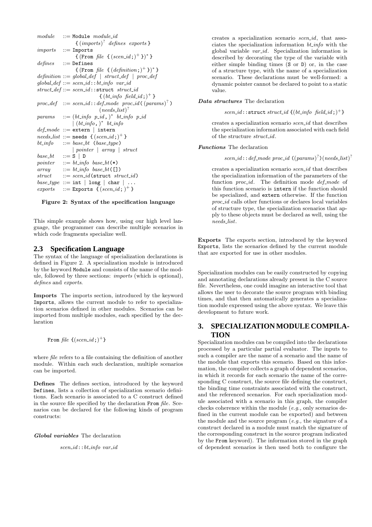```
module ::= Module module\_id{ \{ (imports) }^? defines exports }
imports ::= Imports
                   \{ (From file \{ (seen_id; )^+ \} )^*)
defines ::= Defines
                   \{(\text{From file } \{ (definition_i)^+ \})^* \}definition ::= global\ def \ | \ struct\ def \ | \ proc\ defglobal\_\textit{def} ::= \textit{seen_id}::\textit{bt}.\textit{info} \textit{var_id}struct\_def ::= scen\_id::struct\_struct\_id\{ (bt\textit{info} \textit{field} \textit{id}; )^+ \}proc\_def \ ::= scen\_id::def\_mode \ proc\_id((params)^{?})(needs\_list)^{?}params \quad ::= (bt\_info \ p\_id, )^* \ bt\_info \ p\_id\int (bt\_info, )^* bt_info
def_model ::= \texttt{extern} | \texttt{intern}needs\_list ::= needs \{ (scen_id; )^+ \}bt_info ::= base_bt (base_type)
                 | pointer | array | struct
base\_bt ::= S | D
pointer  ::= bt\_info base bt(*)array \quad ::= \text{ } bit\_info \text{ } base\_bt \in []struct ::=seen_id(\text{struct }struct_id)base_type ::= int | long | char | ...
exports ::= Exports \{(\text{seen}_id;)^+\}
```
Figure 2: Syntax of the specification language

This simple example shows how, using our high level language, the programmer can describe multiple scenarios in which code fragments specialize well.

#### **2.3 Specification Language**

The syntax of the language of specialization declarations is defined in Figure 2. A specialization module is introduced by the keyword Module and consists of the name of the module, followed by three sections: imports (which is optional), defines and exports.

Imports The imports section, introduced by the keyword Imports, allows the current module to refer to specialization scenarios defined in other modules. Scenarios can be imported from multiple modules, each specified by the declaration

From  $\mathit{file}$   $\{(\mathit{seen\_id}\,;\bm{)}^+\}$ 

where *file* refers to a file containing the definition of another module. Within each such declaration, multiple scenarios can be imported.

Defines The defines section, introduced by the keyword Defines, lists a collection of specialization scenario definitions. Each scenario is associated to a C construct defined in the source file specified by the declaration From file. Scenarios can be declared for the following kinds of program constructs:

Global variables The declaration

scen id::bt info var id

creates a specialization scenario scen id, that associates the specialization information  $bt\_info$  with the global variable var id. Specialization information is described by decorating the type of the variable with either simple binding times (S or D) or, in the case of a structure type, with the name of a specialization scenario. These declarations must be well-formed: a dynamic pointer cannot be declared to point to a static value.

#### Data structures The declaration

scen\_id::struct struct\_id  $\{(bt\_info\ field\_id\cdot)^+\}$ 

creates a specialization scenario scen id that describes the specialization information associated with each field of the structure struct id.

#### Functions The declaration

scen\_id::def\_mode proc\_id  $((params)^?)(needs_list)^?$ 

creates a specialization scenario scen id that describes the specialization information of the parameters of the function *proc\_id*. The definition mode *def\_mode* of this function scenario is intern if the function should be specialized, and extern otherwise. If the function proc id calls other functions or declares local variables of structure type, the specialization scenarios that apply to these objects must be declared as well, using the needs list.

Exports The exports section, introduced by the keyword Exports, lists the scenarios defined by the current module that are exported for use in other modules.

Specialization modules can be easily constructed by copying and annotating declarations already present in the C source file. Nevertheless, one could imagine an interactive tool that allows the user to decorate the source program with binding times, and that then automatically generates a specialization module expressed using the above syntax. We leave this development to future work.

### **3. SPECIALIZATION MODULE COMPILA-TION**

Specialization modules can be compiled into the declarations processed by a particular partial evaluator. The inputs to such a compiler are the name of a scenario and the name of the module that exports this scenario. Based on this information, the compiler collects a graph of dependent scenarios, in which it records for each scenario the name of the corresponding C construct, the source file defining the construct, the binding time constraints associated with the construct, and the referenced scenarios. For each specialization module associated with a scenario in this graph, the compiler checks coherence within the module (e.g., only scenarios defined in the current module can be exported) and between the module and the source program  $(e.g., the signature of a)$ construct declared in a module must match the signature of the corresponding construct in the source program indicated by the From keyword). The information stored in the graph of dependent scenarios is then used both to configure the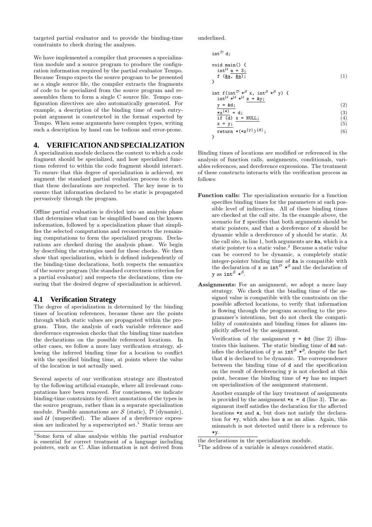targeted partial evaluator and to provide the binding-time constraints to check during the analyses.

We have implemented a compiler that processes a specialization module and a source program to produce the configuration information required by the partial evaluator Tempo. Because Tempo expects the source program to be presented as a single source file, the compiler extracts the fragments of code to be specialized from the source program and reassembles them to form a single C source file. Tempo configuration directives are also automatically generated. For example, a description of the binding time of each entrypoint argument is constructed in the format expected by Tempo. When some arguments have complex types, writing such a description by hand can be tedious and error-prone.

#### **4. VERIFICATION AND SPECIALIZATION**

A specialization module declares the context to which a code fragment should be specialized, and how specialized functions referred to within the code fragment should interact. To ensure that this degree of specialization is achieved, we augment the standard partial evaluation process to check that these declarations are respected. The key issue is to ensure that information declared to be static is propagated pervasively through the program.

Offline partial evaluation is divided into an analysis phase that determines what can be simplified based on the known information, followed by a specialization phase that simplifies the selected computations and reconstructs the remaining computations to form the specialized program. Declarations are checked during the analysis phase. We begin by describing the strategies used for these checks. We then show that specialization, which is defined independently of the binding-time declarations, both respects the semantics of the source program (the standard correctness criterion for a partial evaluator) and respects the declarations, thus ensuring that the desired degree of specialization is achieved.

#### **4.1 Verification Strategy**

The degree of specialization is determined by the binding times of location references, because these are the points through which static values are propagated within the program. Thus, the analysis of each variable reference and dereference expression checks that the binding time matches the declarations on the possible referenced locations. In other cases, we follow a more lazy verification strategy, allowing the inferred binding time for a location to conflict with the specified binding time, at points where the value of the location is not actually used.

Several aspects of our verification strategy are illustrated by the following artificial example, where all irrelevant computations have been removed. For conciseness, we indicate binding-time constraints by direct annotation of the types in the source program, rather than in a separate specialization module. Possible annotations are  $\mathcal S$  (static),  $\mathcal D$  (dynamic), and  $U$  (unspecified). The aliases of a dereference expression are indicated by a superscripted set.<sup>1</sup> Static terms are underlined.

$$
intD d;
$$
  
void main() {  
int<sup>U</sup> a = 3;  
f (ka, ka); (1)

$$
\begin{array}{c}\n\text{int } f(\text{int}^{\mathcal{D}} *^S x, \text{ int}^S *^S y) \\
\text{int}^{\mathcal{U}} *^{\mathcal{U}} *^{\mathcal{U}} z = \&y\n\end{array}
$$

$$
\frac{y = \&d}{\ast x^{\{a\}} = d;}
$$
\n(2)\n(3)

if (d) 
$$
\underline{x} = NULL;
$$
 (4)

$$
\mathbf{x} = \mathbf{y};\tag{5}
$$

$$
\begin{array}{c}\text{return } *(*z^{\{y\}})^{\{d\}};\\ \end{array}
$$
\n(6)

Binding times of locations are modified or referenced in the analysis of function calls, assignments, conditionals, variables references, and dereference expressions. The treatment of these constructs interacts with the verification process as follows:

- Function calls: The specialization scenario for a function specifies binding times for the parameters at each possible level of indirection. All of these binding times are checked at the call site. In the example above, the scenario for f specifies that both arguments should be static pointers, and that a dereference of x should be dynamic while a dereference of y should be static. At the call site, in line 1, both arguments are &a, which is a static pointer to a static value.<sup>2</sup> Because a static value can be coerced to be dynamic, a completely static integer-pointer binding time of &a is compatible with the declaration of **x** as  $int^{\mathcal{D}} *^{\mathcal{S}}$  and the declaration of y as int $^{\mathcal{S}}$  \* $^{\mathcal{S}}$ .
- Assignments: For an assignment, we adopt a more lazy strategy. We check that the binding time of the assigned value is compatible with the constraints on the possible affected locations, to verify that information is flowing through the program according to the programmer's intentions, but do not check the compatibility of constraints and binding times for aliases implicitly affected by the assignment.

Verification of the assignment  $y = \&d$  (line 2) illustrates this laziness. The static binding time of &d satisfies the declaration of y as  $int^S *S$ , despite the fact that d is declared to be dynamic. The correspondence between the binding time of d and the specification on the result of dereferencing y is not checked at this point, because the binding time of \*y has no impact on specialization of the assignment statement.

Another example of the lazy treatment of assignments is provided by the assignment  $*x = d$  (line 3). The assignment itself satisfies the declaration for the affected locations \*x and a, but does not satisfy the declaration for \*y, which also has a as an alias. Again, this mismatch is not detected until there is a reference to \*y.

<sup>1</sup>Some form of alias analysis within the partial evaluator is essential for correct treatment of a language including pointers, such as C. Alias information is not derived from

the declarations in the specialization module.

<sup>&</sup>lt;sup>2</sup>The address of a variable is always considered static.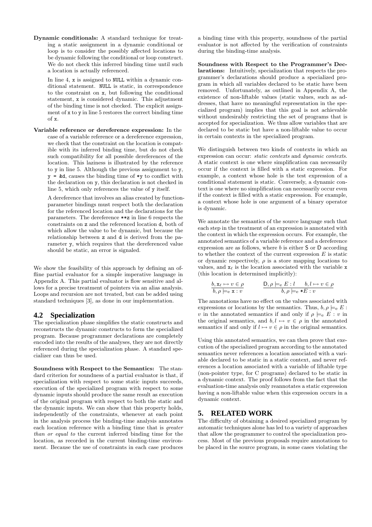Dynamic conditionals: A standard technique for treating a static assignment in a dynamic conditional or loop is to consider the possibly affected locations to be dynamic following the conditional or loop construct. We do not check this inferred binding time until such a location is actually referenced.

In line 4, x is assigned to NULL within a dynamic conditional statement. NULL is static, in correspondence to the constraint on x, but following the conditional statement, x is considered dynamic. This adjustment of the binding time is not checked. The explicit assignment of x to y in line 5 restores the correct binding time of x.

Variable reference or dereference expression: In the case of a variable reference or a dereference expression, we check that the constraint on the location is compatible with its inferred binding time, but do not check such compatibility for all possible dereferences of the location. This laziness is illustrated by the reference to y in line 5. Although the previous assignment to y,  $y = \&d$ , causes the binding time of  $*y$  to conflict with the declaration on y, this declaration is not checked in line 5, which only references the value of y itself.

A dereference that involves an alias created by functionparameter bindings must respect both the declaration for the referenced location and the declarations for the parameters. The dereference \*\*z in line 6 respects the constraints on z and the referenced location d, both of which allow the value to be dynamic, but because the relationship between z and d is derived from the parameter y, which requires that the dereferenced value should be static, an error is signaled.

We show the feasibility of this approach by defining an offline partial evaluator for a simple imperative language in Appendix A. This partial evaluator is flow sensitive and allows for a precise treatment of pointers via an alias analysis. Loops and recursion are not treated, but can be added using standard techniques [3], as done in our implementation.

#### **4.2 Specialization**

The specialization phase simplifies the static constructs and reconstructs the dynamic constructs to form the specialized program. Because programmer declarations are completely encoded into the results of the analyses, they are not directly referenced during the specialization phase. A standard specializer can thus be used.

Soundness with Respect to the Semantics: The standard criterion for soundness of a partial evaluator is that, if specialization with respect to some static inputs succeeds. execution of the specialized program with respect to some dynamic inputs should produce the same result as execution of the original program with respect to both the static and the dynamic inputs. We can show that this property holds, independently of the constraints, whenever at each point in the analysis process the binding-time analysis annotates each location reference with a binding time that is greater than or equal to the current inferred binding time for the location, as recorded in the current binding-time environment. Because the use of constraints in each case produces

a binding time with this property, soundness of the partial evaluator is not affected by the verification of constraints during the binding-time analysis.

Soundness with Respect to the Programmer's Declarations: Intuitively, specialization that respects the programmer's declarations should produce a specialized program in which all variables declared to be static have been removed. Unfortunately, as outlined in Appendix A, the existence of non-liftable values (static values, such as addresses, that have no meaningful representation in the specialized program) implies that this goal is not achievable without undesirably restricting the set of programs that is accepted for specialization. We thus allow variables that are declared to be static but have a non-liftable value to occur in certain contexts in the specialized program.

We distinguish between two kinds of contexts in which an expression can occur: static contexts and dynamic contexts. A static context is one where simplification can necessarily occur if the context is filled with a static expression. For example, a context whose hole is the test expression of a conditional statement is static. Conversely, a dynamic context is one where no simplification can necessarily occur even if the context is filled with a static expression. For example, a context whose hole is one argument of a binary operator is dynamic.

We annotate the semantics of the source language such that each step in the treatment of an expression is annotated with the context in which the expression occurs. For example, the annotated semantics of a variable reference and a dereference expression are as follows, where  $b$  is either  $S$  or  $D$  according to whether the context of the current expression  $E$  is static or dynamic respectively,  $\rho$  is a store mapping locations to values, and  $x_\ell$  is the location associated with the variable x (this location is determined implicitly):

$$
\frac{b, \mathbf{x}_{\ell} \mapsto v \in \rho}{b, \rho \models_{\mathbf{e}} \mathbf{x} : v}
$$
\n
$$
\frac{D, \rho \models_{\mathbf{e}} E : l \qquad b, l \mapsto v \in \rho}{b, \rho \models_{\mathbf{e}} * E : v}
$$

The annotations have no effect on the values associated with expressions or locations by the semantics. Thus,  $b, \rho \models_{e} E$ : v in the annotated semantics if and only if  $\rho \models_{e} E : v$  in the original semantics, and  $b, l \mapsto v \in \rho$  in the annotated semantics if and only if  $l \mapsto v \in \rho$  in the original semantics.

Using this annotated semantics, we can then prove that execution of the specialized program according to the annotated semantics never references a location associated with a variable declared to be static in a static context, and never references a location associated with a variable of liftable type (non-pointer type, for C programs) declared to be static in a dynamic context. The proof follows from the fact that the evaluation-time analysis only reannotates a static expression having a non-liftable value when this expression occurs in a dynamic context.

#### **5. RELATED WORK**

The difficulty of obtaining a desired specialized program by automatic techniques alone has led to a variety of approaches that allow the programmer to control the specialization process. Most of the previous proposals require annotations to be placed in the source program, in some cases violating the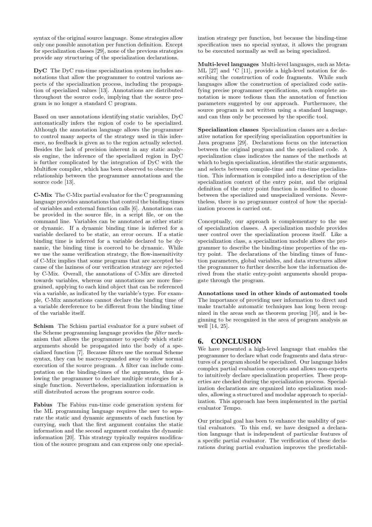syntax of the original source language. Some strategies allow only one possible annotation per function definition. Except for specialization classes [29], none of the previous strategies provide any structuring of the specialization declarations.

DyC The DyC run-time specialization system includes annotations that allow the programmer to control various aspects of the specialization process, including the propagation of specialized values [13]. Annotations are distributed throughout the source code, implying that the source program is no longer a standard C program.

Based on user annotations identifying static variables, DyC automatically infers the region of code to be specialized. Although the annotation language allows the programmer to control many aspects of the strategy used in this inference, no feedback is given as to the region actually selected. Besides the lack of precision inherent in any static analysis engine, the inference of the specialized region in DyC is further complicated by the integration of DyC with the Multiflow compiler, which has been observed to obscure the relationship between the programmer annotations and the source code [13].

C-Mix The C-Mix partial evaluator for the C programming language provides annotations that control the binding-times of variables and external function calls [6]. Annotations can be provided in the source file, in a script file, or on the command line. Variables can be annotated as either static or dynamic. If a dynamic binding time is inferred for a variable declared to be static, an error occurs. If a static binding time is inferred for a variable declared to be dynamic, the binding time is coerced to be dynamic. While we use the same verification strategy, the flow-insensitivity of C-Mix implies that some programs that are accepted because of the laziness of our verification strategy are rejected by C-Mix. Overall, the annotations of C-Mix are directed towards variables, whereas our annotations are more finegrained, applying to each kind object that can be referenced via a variable, as indicated by the variable's type. For example, C-Mix annotations cannot declare the binding time of a variable dereference to be different from the binding time of the variable itself.

Schism The Schism partial evaluator for a pure subset of the Scheme programming language provides the filter mechanism that allows the programmer to specify which static arguments should be propagated into the body of a specialized function [7]. Because filters use the normal Scheme syntax, they can be macro-expanded away to allow normal execution of the source program. A filter can include computation on the binding-times of the arguments, thus allowing the programmer to declare multiple strategies for a single function. Nevertheless, specialization information is still distributed across the program source code.

Fabius The Fabius run-time code generation system for the ML programming language requires the user to separate the static and dynamic arguments of each function by currying, such that the first argument contains the static information and the second argument contains the dynamic information [20]. This strategy typically requires modification of the source program and can express only one specialization strategy per function, but because the binding-time specification uses no special syntax, it allows the program to be executed normally as well as being specialized.

Multi-level languages Multi-level languages, such as Meta-ML [27] and 'C [11], provide a high-level notation for describing the construction of code fragments. While such languages allow the construction of specialized code satisfying precise programmer specifications, such complete annotation is more tedious than the annotation of function parameters suggested by our approach. Furthermore, the source program is not written using a standard language, and can thus only be processed by the specific tool.

Specialization classes Specialization classes are a declarative notation for specifying specialization opportunities in Java programs [29]. Declarations focus on the interaction between the original program and the specialized code. A specialization class indicates the names of the methods at which to begin specialization, identifies the static arguments, and selects between compile-time and run-time specialization. This information is compiled into a description of the specialization context of the entry point, and the original definition of the entry point function is modified to choose between the specialized and unspecialized versions. Nevertheless, there is no programmer control of how the specialization process is carried out.

Conceptually, our approach is complementary to the use of specialization classes. A specialization module provides user control over the specialization process itself. Like a specialization class, a specialization module allows the programmer to describe the binding-time properties of the entry point. The declarations of the binding times of function parameters, global variables, and data structures allow the programmer to further describe how the information derived from the static entry-point arguments should propagate through the program.

Annotations used in other kinds of automated tools The importance of providing user information to direct and make tractable automatic techniques has long been recognized in the areas such as theorem proving [10], and is beginning to be recognized in the area of program analysis as well [14, 25].

### **6. CONCLUSION**

We have presented a high-level language that enables the programmer to declare what code fragments and data structures of a program should be specialized. Our language hides complex partial evaluation concepts and allows non-experts to intuitively declare specialization properties. These properties are checked during the specialization process. Specialization declarations are organized into specialization modules, allowing a structured and modular approach to specialization. This approach has been implemented in the partial evaluator Tempo.

Our principal goal has been to enhance the usability of partial evaluators. To this end, we have designed a declaration language that is independent of particular features of a specific partial evaluator. The verification of these declarations during partial evaluation improves the predictabil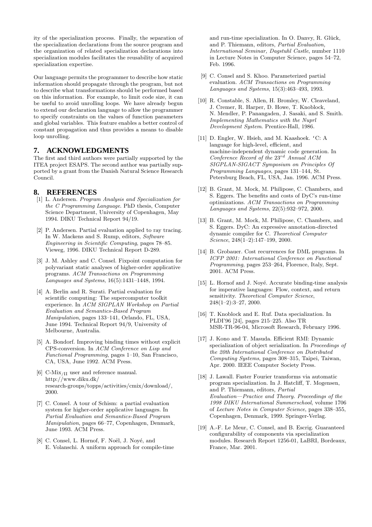ity of the specialization process. Finally, the separation of the specialization declarations from the source program and the organization of related specialization declarations into specialization modules facilitates the reusability of acquired specialization expertise.

Our language permits the programmer to describe how static information should propagate through the program, but not to describe what transformations should be performed based on this information. For example, to limit code size, it can be useful to avoid unrolling loops. We have already begun to extend our declaration language to allow the programmer to specify constraints on the values of function parameters and global variables. This feature enables a better control of constant propagation and thus provides a means to disable loop unrolling.

## **7. ACKNOWLEDGMENTS**

The first and third authors were partially supported by the ITEA project ESAPS. The second author was partially supported by a grant from the Danish Natural Science Research Council.

## **8. REFERENCES**

- [1] L. Andersen. Program Analysis and Specialization for the C Programming Language. PhD thesis, Computer Science Department, University of Copenhagen, May 1994. DIKU Technical Report 94/19.
- [2] P. Andersen. Partial evaluation applied to ray tracing. In W. Mackens and S. Rump, editors, Software Engineering in Scientific Computing, pages 78–85. Vieweg, 1996. DIKU Technical Report D-289.
- [3] J. M. Ashley and C. Consel. Fixpoint computation for polyvariant static analyses of higher-order applicative programs. ACM Transactions on Programming Languages and Systems, 16(5):1431–1448, 1994.
- [4] A. Berlin and R. Surati. Partial evaluation for scientific computing: The supercomputer toolkit experience. In ACM SIGPLAN Workshop on Partial Evaluation and Semantics-Based Program Manipulation, pages 133–141, Orlando, FL, USA, June 1994. Technical Report 94/9, University of Melbourne, Australia.
- [5] A. Bondorf. Improving binding times without explicit CPS-conversion. In ACM Conference on Lisp and Functional Programming, pages 1–10, San Francisco, CA, USA, June 1992. ACM Press.
- [6] C-Mix/II user and reference manual. http://www.diku.dk/ research-groups/topps/activities/cmix/download/, 2000.
- [7] C. Consel. A tour of Schism: a partial evaluation system for higher-order applicative languages. In Partial Evaluation and Semantics-Based Program Manipulation, pages 66–77, Copenhagen, Denmark, June 1993. ACM Press.
- [8] C. Consel, L. Hornof, F. Noël, J. Noyé, and E. Volanschi. A uniform approach for compile-time

and run-time specialization. In O. Danvy, R. Glück, and P. Thiemann, editors, Partial Evaluation, International Seminar, Dagstuhl Castle, number 1110 in Lecture Notes in Computer Science, pages 54–72, Feb. 1996.

- [9] C. Consel and S. Khoo. Parameterized partial evaluation. ACM Transactions on Programming Languages and Systems, 15(3):463–493, 1993.
- [10] R. Constable, S. Allen, H. Bromley, W. Cleaveland, J. Cremer, R. Harper, D. Howe, T. Knoblock, N. Mendler, P. Panangaden, J. Sasaki, and S. Smith. Implementing Mathematics with the Nuprl Development System. Prentice-Hall, 1986.
- [11] D. Engler, W. Hsieh, and M. Kaashoek. 'C: A language for high-level, efficient, and machine-independent dynamic code generation. In Conference Record of the  $23^{rd}$  Annual ACM SIGPLAN-SIGACT Symposium on Principles Of Programming Languages, pages 131–144, St. Petersburg Beach, FL, USA, Jan. 1996. ACM Press.
- [12] B. Grant, M. Mock, M. Philipose, C. Chambers, and S. Eggers. The benefits and costs of DyC's run-time optimizations. ACM Transactions on Programming Languages and Systems, 22(5):932–972, 2000.
- [13] B. Grant, M. Mock, M. Philipose, C. Chambers, and S. Eggers. DyC: An expressive annotation-directed dynamic compiler for C. Theoretical Computer Science, 248(1–2):147–199, 2000.
- [14] B. Grobauer. Cost recurrences for DML programs. In ICFP 2001: International Conference on Functional Programming, pages 253–264, Florence, Italy, Sept. 2001. ACM Press.
- [15] L. Hornof and J. Noyé. Accurate binding-time analysis for imperative languages: Flow, context, and return sensitivity. Theoretical Computer Science, 248(1–2):3–27, 2000.
- [16] T. Knoblock and E. Ruf. Data specialization. In PLDI'96 [24], pages 215–225. Also TR MSR-TR-96-04, Microsoft Research, February 1996.
- [17] J. Kono and T. Masuda. Efficient RMI: Dynamic specialization of object serialization. In Proceedings of the 20th International Conference on Distributed Computing Systems, pages 308–315, Taipei, Taiwan, Apr. 2000. IEEE Computer Society Press.
- [18] J. Lawall. Faster Fourier transforms via automatic program specialization. In J. Hatcliff, T. Mogensen, and P. Thiemann, editors, Partial Evaluation—Practice and Theory. Proceedings of the 1998 DIKU International Summerschool, volume 1706 of Lecture Notes in Computer Science, pages 338–355, Copenhagen, Denmark, 1999. Springer-Verlag.
- [19] A.-F. Le Meur, C. Consel, and B. Escrig. Guaranteed configurability of components via specialization modules. Research Report 1256-01, LaBRI, Bordeaux, France, Mar. 2001.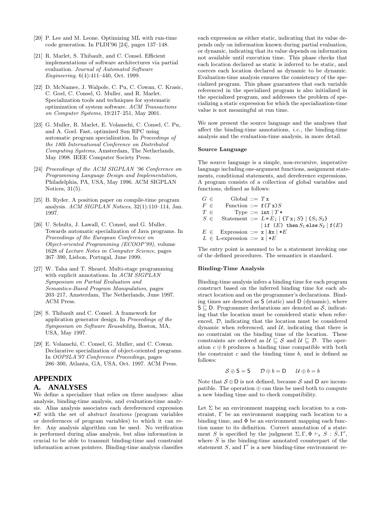- [20] P. Lee and M. Leone. Optimizing ML with run-time code generation. In PLDI'96 [24], pages 137–148.
- [21] R. Marlet, S. Thibault, and C. Consel. Efficient implementations of software architectures via partial evaluation. Journal of Automated Software Engineering, 6(4):411–440, Oct. 1999.
- [22] D. McNamee, J. Walpole, C. Pu, C. Cowan, C. Krasic, C. Goel, C. Consel, G. Muller, and R. Marlet. Specialization tools and techniques for systematic optimization of system software. ACM Transactions on Computer Systems, 19:217–251, May 2001.
- [23] G. Muller, R. Marlet, E. Volanschi, C. Consel, C. Pu, and A. Goel. Fast, optimized Sun RPC using automatic program specialization. In Proceedings of the 18th International Conference on Distributed Computing Systems, Amsterdam, The Netherlands, May 1998. IEEE Computer Society Press.
- [24] Proceedings of the ACM SIGPLAN '96 Conference on Programming Language Design and Implementation, Philadelphia, PA, USA, May 1996. ACM SIGPLAN Notices, 31(5).
- [25] B. Ryder. A position paper on compile-time program analysis. ACM SIGPLAN Notices, 32(1):110–114, Jan. 1997.
- [26] U. Schultz, J. Lawall, C. Consel, and G. Muller. Towards automatic specialization of Java programs. In Proceedings of the European Conference on Object-oriented Programming (ECOOP'99), volume 1628 of Lecture Notes in Computer Science, pages 367–390, Lisbon, Portugal, June 1999.
- [27] W. Taha and T. Sheard. Multi-stage programming with explicit annotations. In ACM SIGPLAN Symposium on Partial Evaluation and Semantics-Based Program Manipulation, pages 203–217, Amsterdam, The Netherlands, June 1997. ACM Press.
- [28] S. Thibault and C. Consel. A framework for application generator design. In Proceedings of the Symposium on Software Reusability, Boston, MA, USA, May 1997.
- [29] E. Volanschi, C. Consel, G. Muller, and C. Cowan. Declarative specialization of object-oriented programs. In OOPSLA'97 Conference Proceedings, pages 286–300, Atlanta, GA, USA, Oct. 1997. ACM Press.

#### **APPENDIX**

#### **A. ANALYSES**

We define a specializer that relies on three analyses: alias analysis, binding-time analysis, and evaluation-time analysis. Alias analysis associates each dereferenced expression  $*E$  with the set of *abstract locations* (program variables or dereferences of program variables) to which it can refer. Any analysis algorithm can be used. No verification is performed during alias analysis, but alias information is crucial to be able to transmit binding-time and constraint information across pointers. Binding-time analysis classifies

each expression as either static, indicating that its value depends only on information known during partial evaluation, or dynamic, indicating that its value depends on information not available until execution time. This phase checks that each location declared as static is inferred to be static, and coerces each location declared as dynamic to be dynamic. Evaluation-time analysis ensures the consistency of the specialized program. This phase guarantees that each variable referenced in the specialized program is also initialized in the specialized program, and addresses the problem of specializing a static expression for which the specialization-time value is not meaningful at run time.

We now present the source language and the analyses that affect the binding-time annotations, *i.e.*, the binding-time analysis and the evaluation-time analysis, in more detail.

#### Source Language

The source language is a simple, non-recursive, imperative language including one-argument functions, assignment statements, conditional statements, and dereference expressions. A program consists of a collection of global variables and functions, defined as follows:

| $G \in$ | Global ::= $T x$                     |                                                  |
|---------|--------------------------------------|--------------------------------------------------|
| $F \in$ | Function ::= $f(Tx)S$                |                                                  |
| $T \in$ |                                      | Type ::= int $T*$                                |
| $S \in$ |                                      | Statement ::= $L = E$ ; $  {T x; S}   {S_1 S_2}$ |
|         |                                      | if $(E)$ then $S_1$ else $S_2$   $f(E)$          |
|         | $E \in$ Expression ::= $x   kx   *E$ |                                                  |
|         | $L \in$ L-expression ::= $x \mid *E$ |                                                  |

The entry point is assumed to be a statement invoking one of the defined procedures. The semantics is standard.

#### Binding-Time Analysis

Binding-time analysis infers a binding time for each program construct based on the inferred binding time for each abstract location and on the programmer's declarations. Binding times are denoted as S (static) and D (dynamic), where  $S \subseteq D$ . Programmer declarations are denoted as S, indicating that the location must be considered static when referenced, D, indicating that the location must be considered dynamic when referenced, and  $U$ , indicating that there is no constraint on the binding time of the location. These constraints are ordered as  $\mathcal{U} \subseteq \mathcal{S}$  and  $\mathcal{U} \subseteq \mathcal{D}$ . The operation  $c \oplus b$  produces a binding time compatible with both the constraint  $c$  and the binding time  $b$ , and is defined as follows:

$$
\mathcal{S} \oplus \mathsf{S} = \mathsf{S} \qquad \mathcal{D} \oplus b = \mathsf{D} \qquad \mathcal{U} \oplus b = b
$$

Note that  $S \oplus D$  is not defined, because S and D are incompatible. The operation ⊕ can thus be used both to compute a new binding time and to check compatibility.

Let  $\Sigma$  be an environment mapping each location to a constraint, Γ be an environment mapping each location to a binding time, and  $\Phi$  be an environment mapping each function name to its definition. Correct annotation of a statement S is specified by the judgment  $\Sigma, \Gamma, \Phi \vdash_{\mathbf{s}} S : \hat{S}, \Gamma',$ where  $\hat{S}$  is the binding-time annotated counterpart of the statement S, and  $\Gamma'$  is a new binding-time environment re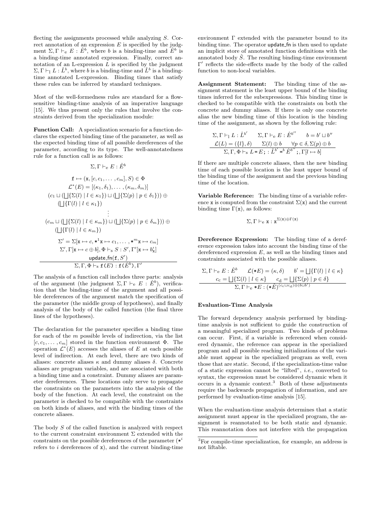flecting the assignments processed while analyzing S. Correct annotation of an expression  $E$  is specified by the judgment  $\Sigma, \Gamma \vdash_e E : \hat{E}^b$ , where b is a binding-time and  $\hat{E}^b$  is a binding-time annotated expression. Finally, correct annotation of an L-expression  $L$  is specified by the judgment  $\Sigma, \Gamma \vdash_1 L : \hat{L}^b$ , where b is a binding-time and  $\hat{L}^b$  is a bindingtime annotated L-expression. Binding times that satisfy these rules can be inferred by standard techniques.

Most of the well-formedness rules are standard for a flowsensitive binding-time analysis of an imperative language [15]. We thus present only the rules that involve the constraints derived from the specialization module:

Function Call: A specialization scenario for a function declares the expected binding time of the parameter, as well as the expected binding time of all possible dereferences of the parameter, according to its type. The well-annotatedness rule for a function call is as follows:

 $=$   $\rightarrow$   $\rightarrow$ 

$$
\Sigma, \Gamma \vdash_{\mathsf{E}} E : E^{\mathsf{T}}
$$
\n
$$
\mathbf{f} \mapsto (\mathbf{x}, [c, c_1, \dots, c_m], S) \in \Phi
$$
\n
$$
\mathcal{L}^*(E) = [(\kappa_1, \delta_1), \dots, (\kappa_m, \delta_m)]
$$
\n
$$
(c_1 \sqcup (\bigsqcup \{\Sigma(l) \mid l \in \kappa_1\}) \sqcup (\bigsqcup \{\Sigma(p) \mid p \in \delta_1\})) \oplus
$$
\n
$$
(\bigsqcup \{\Gamma(l) \mid l \in \kappa_1\})
$$
\n
$$
\vdots
$$
\n
$$
(c_m \sqcup (\bigsqcup \{\Sigma(l) \mid l \in \kappa_m\}) \sqcup (\bigsqcup \{\Sigma(p) \mid p \in \delta_m\})) \oplus
$$
\n
$$
(\bigsqcup \{\Gamma(l) \mid l \in \kappa_m\})
$$
\n
$$
\Sigma' = \Sigma[\mathbf{x} \mapsto c, \mathbf{x}^1 \mathbf{x} \mapsto c_1, \dots, \mathbf{x}^m \mathbf{x} \mapsto c_m]
$$
\n
$$
\Sigma', \Gamma[\mathbf{x} \mapsto c \oplus b], \Phi \vdash_{\mathbf{s}} S : S', \Gamma'[\mathbf{x} \mapsto b'_\mathbf{x}]
$$
\n
$$
\text{update_fn}(\mathbf{f}, S')
$$
\n
$$
\Sigma, \Gamma, \Phi \vdash_{\mathbf{s}} \mathbf{f}(E) : \mathbf{f}(\hat{E}^b), \Gamma'
$$

The analysis of a function call includes three parts: analysis of the argument (the judgment  $\Sigma, \Gamma \vdash_e E : E^b$ ), verification that the binding-time of the argument and all possible dereferences of the argument match the specification of the parameter (the middle group of hypotheses), and finally analysis of the body of the called function (the final three lines of the hypotheses).

The declaration for the parameter specifies a binding time for each of the m possible levels of indirection, via the list  $[c, c_1, \ldots, c_m]$  stored in the function environment  $\Phi$ . The operation  $\mathcal{L}^*(E)$  accesses the aliases of E at each possible level of indirection. At each level, there are two kinds of aliases: concrete aliases  $κ$  and dummy aliases  $δ$ . Concrete aliases are program variables, and are associated with both a binding time and a constraint. Dummy aliases are parameter dereferences. These locations only serve to propagate the constraints on the parameters into the analysis of the body of the function. At each level, the constraint on the parameter is checked to be compatible with the constraints on both kinds of aliases, and with the binding times of the concrete aliases.

The body S of the called function is analyzed with respect to the current constraint environment  $\Sigma$  extended with the constraints on the possible dereferences of the parameter  $(*<sup>i</sup>$ refers to  $i$  dereferences of  $x$ ), and the current binding-time

environment Γ extended with the parameter bound to its binding time. The operator update fn is then used to update an implicit store of annotated function definitions with the annotated body  $\hat{S}$ . The resulting binding-time environment Γ' reflects the side-effects made by the body of the called function to non-local variables.

Assignment Statement: The binding time of the assignment statement is the least upper bound of the binding times inferred for the subexpressions. This binding time is checked to be compatible with the constraints on both the concrete and dummy aliases. If there is only one concrete alias the new binding time of this location is the binding time of the assignment, as shown by the following rule:

$$
\Sigma, \Gamma \vdash_1 L : \hat{L}^{b'} \qquad \Sigma, \Gamma \vdash_e E : \hat{E}^{b''} \qquad b = b' \sqcup b''
$$

$$
\mathcal{L}(L) = (\{l\}, \delta) \qquad \Sigma(l) \oplus b \qquad \forall p \in \delta, \Sigma(p) \oplus b
$$

$$
\Sigma, \Gamma, \Phi \vdash_s L = E; : \hat{L}^{b'} = b \hat{E}^{b''}; \Gamma[l \mapsto b]
$$

If there are multiple concrete aliases, then the new binding time of each possible location is the least upper bound of the binding time of the assignment and the previous binding time of the location.

Variable Reference: The binding time of a variable reference x is computed from the constraint  $\Sigma(\mathbf{x})$  and the current binding time  $\Gamma(x)$ , as follows:

$$
\Sigma, \Gamma \vdash_e x : x^{\Sigma(x) \oplus \Gamma(x)}
$$

Dereference Expression: The binding time of a dereference expression takes into account the binding time of the dereferenced expression  $E$ , as well as the binding times and constraints associated with the possible aliases.

$$
\Sigma, \Gamma \vdash_{e} E : \hat{E}^{b} \qquad \mathcal{L}(\ast E) = (\kappa, \delta) \qquad b' = \bigsqcup \{\Gamma(l) \mid l \in \kappa\}
$$
\n
$$
c_{\mathbf{C}} = \bigsqcup \{\Sigma(l) \mid l \in \kappa\} \qquad c_{\mathbf{d}} = \bigsqcup \{\Sigma(p) \mid p \in \delta\}
$$
\n
$$
\Sigma, \Gamma \vdash_{e} \ast E : (\ast \hat{E})^{(c_{c} \sqcup c_{\mathbf{d}}) \oplus (b \sqcup b')} \qquad \square
$$

#### Evaluation-Time Analysis

The forward dependency analysis performed by bindingtime analysis is not sufficient to guide the construction of a meaningful specialized program. Two kinds of problems can occur. First, if a variable is referenced when considered dynamic, the reference can appear in the specialized program and all possible reaching initializations of the variable must appear in the specialized program as well, even those that are static. Second, if the specialization-time value of a static expression cannot be "lifted", i.e., converted to syntax, the expression must be considered dynamic when it occurs in a dynamic context.<sup>3</sup> Both of these adjustments require the backwards propagation of information, and are performed by evaluation-time analysis [15].

When the evaluation-time analysis determines that a static assignment must appear in the specialized program, the assignment is reannotated to be both static and dynamic. This reannotation does not interfere with the propagation

<sup>3</sup>For compile-time specialization, for example, an address is not liftable.